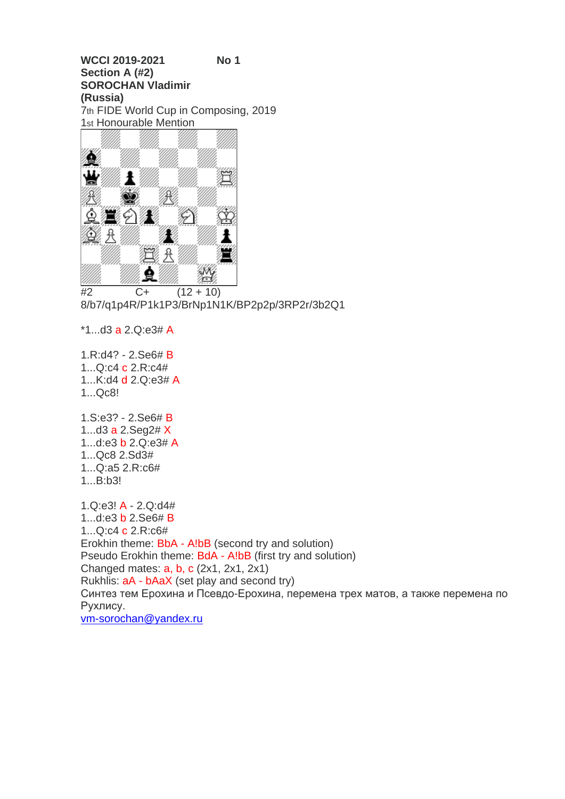**WCCI 2019-2021 No 1 Section A (#2) SOROCHAN Vladimir (Russia)** 7th FIDE World Cup in Composing, 2019 1st Honourable Mention



 $\overline{42}$  C+  $(12 + 10)$ 8/b7/q1p4R/P1k1P3/BrNp1N1K/BP2p2p/3RP2r/3b2Q1

\*1...d3 a 2.Q:e3# A

1.R:d4? - 2.Se6# B 1...Q:c4 c 2.R:c4# 1...K:d4 d 2.Q:e3# A 1...Qc8!

1.S:e3? - 2.Se6# B 1...d3 a 2.Seg2# X 1...d:e3 b 2.Q:e3# A 1...Qc8 2.Sd3# 1...Q:a5 2.R:c6# 1...B:b3!

1.Q:e3! A - 2.Q:d4# 1...d:e3 b 2.Se6# B 1...Q:c4 c 2.R:c6# Erokhin theme: BbA - A!bB (second try and solution) Pseudo Erokhin theme: BdA - A!bB (first try and solution) Changed mates: a, b, c (2x1, 2x1, 2x1) Rukhlis: aA - bAaX (set play and second try) Синтез тем Ерохина и Псевдо-Ерохина, перемена трех матов, а также перемена по Рухлису. [vm-sorochan@yandex.ru](https://e.mail.ru/compose/?mailto=mailto%3avm%2dsorochan@yandex.ru)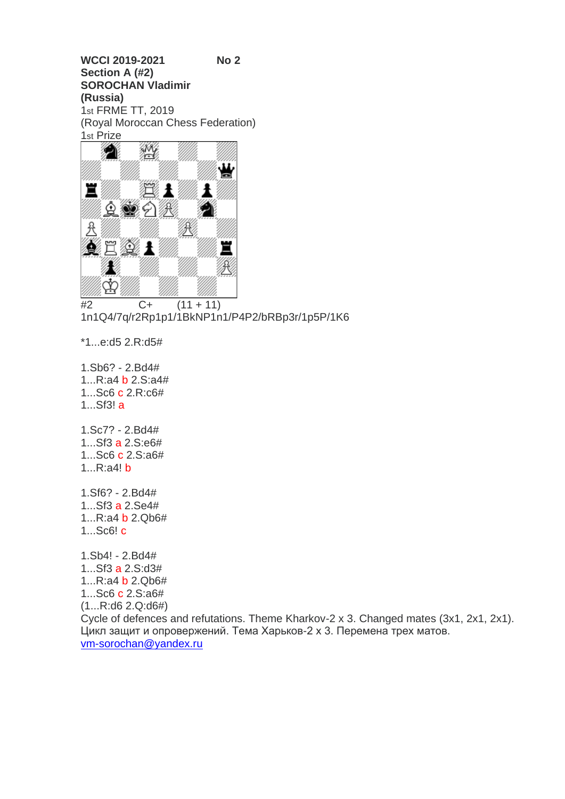**WCCI 2019-2021 No 2 Section A (#2) SOROCHAN Vladimir (Russia)** 1st FRME TT, 2019 (Royal Moroccan Chess Federation) 1st Prize



 $\overline{+2}$  C+ (11 + 11) 1n1Q4/7q/r2Rp1p1/1BkNP1n1/P4P2/bRBp3r/1p5P/1K6

\*1...e:d5 2.R:d5#

1.Sb6? - 2.Bd4# 1...R:a4 b 2.S:a4# 1...Sc6 c 2.R:c6# 1...Sf3! a

1.Sc7? - 2.Bd4# 1...Sf3 a 2.S:e6# 1...Sc6 c 2.S:a6# 1...R:a4! b

1.Sf6? - 2.Bd4# 1...Sf3 a 2.Se4# 1...R:a4 b 2.Qb6# 1...Sc6! c

1.Sb4! - 2.Bd4# 1...Sf3 a 2.S:d3# 1...R:a4 b 2.Qb6# 1...Sc6 c 2.S:a6# (1...R:d6 2.Q:d6#) Cycle of defences and refutations. Theme Kharkov-2 x 3. Changed mates (3x1, 2x1, 2x1). Цикл защит и опровержений. Тема Харьков-2 х 3. Перемена трех матов. [vm-sorochan@yandex.ru](https://e.mail.ru/compose/?mailto=mailto%3avm%2dsorochan@yandex.ru)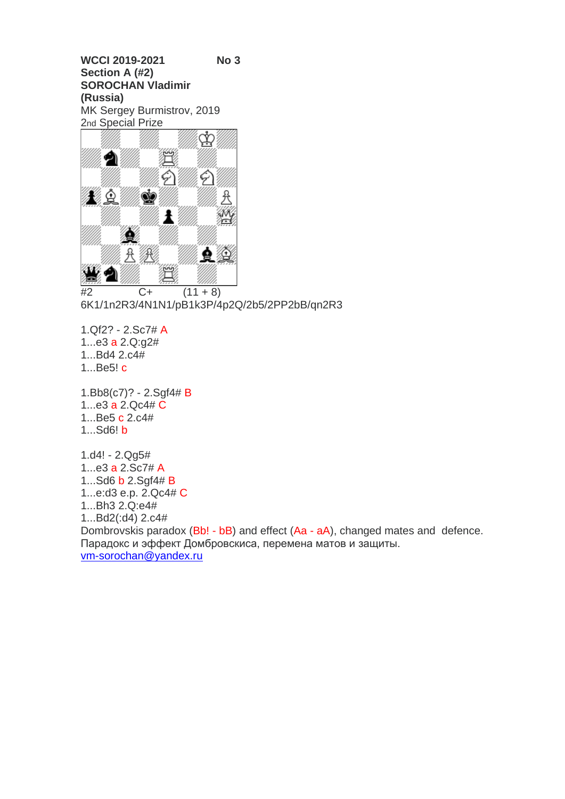**WCCI 2019-2021 No 3 Section A (#2) SOROCHAN Vladimir (Russia)** MK Sergey Burmistrov, 2019 2nd Special Prize



 $#2$  C+  $(11 + 8)$ 6K1/1n2R3/4N1N1/pB1k3P/4p2Q/2b5/2PP2bB/qn2R3

1.Qf2? - 2.Sc7# A 1...e3 a 2.Q:g2# 1...Bd4 2.c4# 1...Be5! c

1.Bb8(c7)? - 2.Sgf4# B 1...e3 a 2.Qc4# C 1...Be5 c 2.c4# 1...Sd6! b

1.d4! - 2.Qg5# 1...e3 a 2.Sc7# A 1...Sd6 b 2.Sgf4# B 1...e:d3 e.p. 2.Qc4# C 1...Bh3 2.Q:e4# 1...Bd2(:d4) 2.c4# Dombrovskis paradox (Bb! - bB) and effect (Aa - aA), changed mates and defence. Парадокс и эффект Домбровскиса, перемена матов и защиты. [vm-sorochan@yandex.ru](https://e.mail.ru/compose/?mailto=mailto%3avm%2dsorochan@yandex.ru)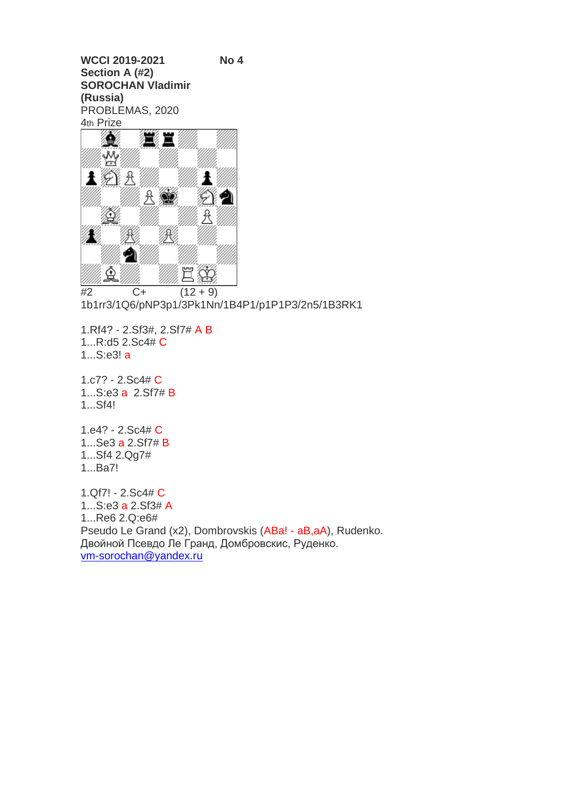**WCCI 2019-2021 No 4 Section A (#2) SOROCHAN Vladimir (Russia)** PROBLEMAS, 2020 4th Prize



 $#2$  C+  $(12 + 9)$ 1b1rr3/1Q6/pNP3p1/3Pk1Nn/1B4P1/p1P1P3/2n5/1B3RK1

1.Rf4? - 2.Sf3#, 2.Sf7# A B 1...R:d5 2.Sc4# C 1...S:e3! a

1.c7? - 2.Sc4# C 1...S:e3 a 2.Sf7# B 1...Sf4!

1.e4? - 2.Sc4# C 1...Se3 a 2.Sf7# B 1...Sf4 2.Qg7# 1...Ba7!

1.Qf7! - 2.Sc4# C 1...S:e3 a 2.Sf3# A 1...Re6 2.Q:e6# Pseudo Le Grand (x2), Dombrovskis (ABa! - aB,aA), Rudenko. Двойной Псевдо Ле Гранд, Домбровскис, Руденко. [vm-sorochan@yandex.ru](https://e.mail.ru/compose/?mailto=mailto%3avm%2dsorochan@yandex.ru)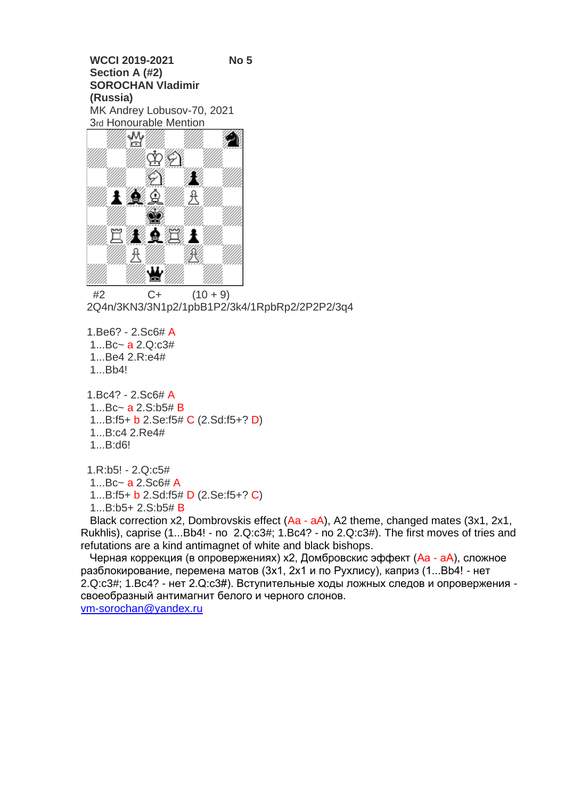**WCCI 2019-2021 No 5 Section A (#2) SOROCHAN Vladimir (Russia)** MK Andrey Lobusov-70, 2021 3rd Honourable Mention



 $#2$  C+  $(10 + 9)$ 2Q4n/3KN3/3N1p2/1pbB1P2/3k4/1RpbRp2/2P2P2/3q4

1.Be6? - 2.Sc6# A

1...Bc~ a 2.Q:c3#

1...Be4 2.R:e4#

1...Bb4!

1.Bc4? - 2.Sc6# A 1...Bc~ a 2.S:b5# B 1...B:f5+ b 2.Se:f5# C (2.Sd:f5+? D) 1...B:c4 2.Re4# 1...B:d6!

1.R:b5! - 2.Q:c5# 1...Bc~ a 2.Sc6# A 1...B:f5+ b 2.Sd:f5# D (2.Se:f5+? C) 1...B:b5+ 2.S:b5# B

 Black correction x2, Dombrovskis effect (Aa - aA), A2 theme, changed mates (3x1, 2x1, Rukhlis), caprise (1...Bb4! - no 2.Q:c3#; 1.Bc4? - no 2.Q:c3#). The first moves of tries and refutations are a kind antimagnet of white and black bishops.

Черная коррекция (в опровержениях) х2, Домбровскис эффект (Аа - аА), сложное разблокирование, перемена матов (3х1, 2х1 и по Рухлису), каприз (1...Bb4! - нет 2.Q:c3#; 1.Bc4? - нет 2.Q:c3#). Вступительные ходы ложных следов и опровержения своеобразный антимагнит белого и черного слонов. [vm-sorochan@yandex.ru](mailto:vm-sorochan@yandex.ru)